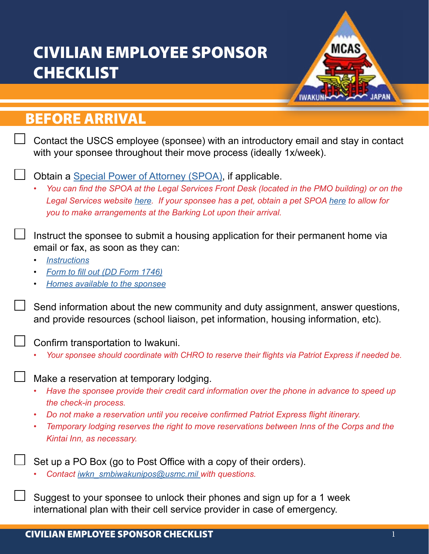## CIVILIAN EMPLOYEE SPONSOR **CHECKLIST**



## BEFORE ARRIVAL

| Contact the USCS employee (sponsee) with an introductory email and stay in contact<br>with your sponsee throughout their move process (ideally 1x/week).                                                                                                                                                                                                                                                                |
|-------------------------------------------------------------------------------------------------------------------------------------------------------------------------------------------------------------------------------------------------------------------------------------------------------------------------------------------------------------------------------------------------------------------------|
| Obtain a Special Power of Attorney (SPOA), if applicable.<br>You can find the SPOA at the Legal Services Front Desk (located in the PMO building) or on the<br>Legal Services website here. If your sponsee has a pet, obtain a pet SPOA here to allow for<br>you to make arrangements at the Barking Lot upon their arrival.                                                                                           |
| Instruct the sponsee to submit a housing application for their permanent home via<br>email or fax, as soon as they can:<br><b>Instructions</b><br>$\bullet$<br>Form to fill out (DD Form 1746)<br>$\bullet$<br>Homes available to the sponsee                                                                                                                                                                           |
| Send information about the new community and duty assignment, answer questions,<br>and provide resources (school liaison, pet information, housing information, etc).                                                                                                                                                                                                                                                   |
| Confirm transportation to Iwakuni.<br>Your sponsee should coordinate with CHRO to reserve their flights via Patriot Express if needed be.                                                                                                                                                                                                                                                                               |
| Make a reservation at temporary lodging.<br>Have the sponsee provide their credit card information over the phone in advance to speed up<br>$\bullet$<br>the check-in process.<br>Do not make a reservation until you receive confirmed Patriot Express flight itinerary.<br>$\bullet$<br>Temporary lodging reserves the right to move reservations between Inns of the Corps and the<br>٠<br>Kintai Inn, as necessary. |
| Set up a PO Box (go to Post Office with a copy of their orders).<br>Contact iwkn smbiwakunipos@usmc.mil with questions.                                                                                                                                                                                                                                                                                                 |

Suggest to your sponsee to unlock their phones and sign up for a 1 week international plan with their cell service provider in case of emergency.